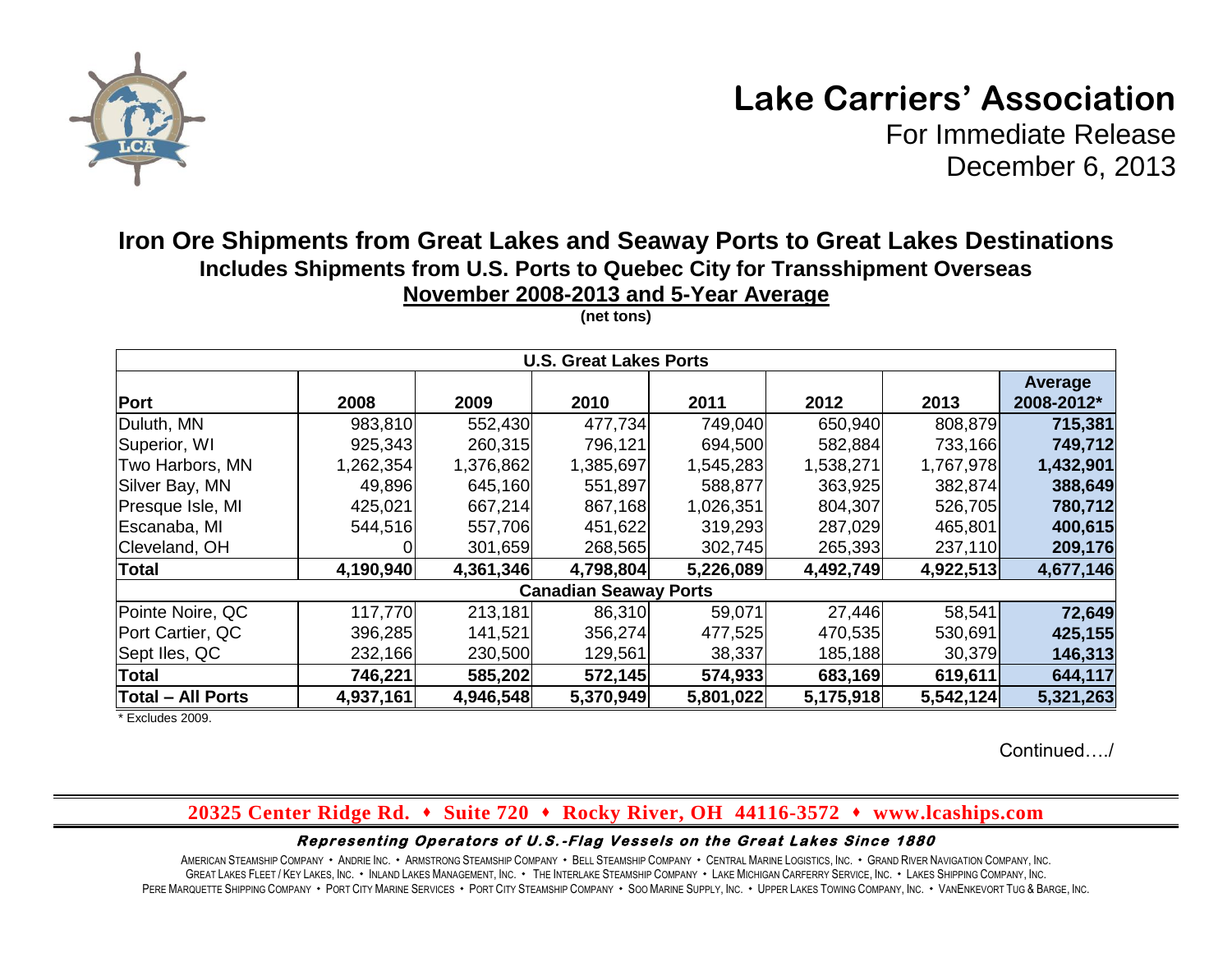

# **Lake Carriers' Association**

For Immediate Release December 6, 2013

# **Iron Ore Shipments from Great Lakes and Seaway Ports to Great Lakes Destinations Includes Shipments from U.S. Ports to Quebec City for Transshipment Overseas November 2008-2013 and 5-Year Average**

| <b>U.S. Great Lakes Ports</b> |           |           |           |           |           |           |                       |  |  |  |  |
|-------------------------------|-----------|-----------|-----------|-----------|-----------|-----------|-----------------------|--|--|--|--|
| Port                          | 2008      | 2009      | 2010      | 2011      | 2012      | 2013      | Average<br>2008-2012* |  |  |  |  |
| Duluth, MN                    | 983,810   | 552,430   | 477,734   | 749,040   | 650,940   | 808,879   | 715,381               |  |  |  |  |
| Superior, WI                  | 925,343   | 260,315   | 796,121   | 694,500   | 582,884   | 733,166   | 749,712               |  |  |  |  |
| Two Harbors, MN               | 1,262,354 | 1,376,862 | 1,385,697 | 1,545,283 | 1,538,271 | 1,767,978 | 1,432,901             |  |  |  |  |
| Silver Bay, MN                | 49,896    | 645,160   | 551,897   | 588,877   | 363,925   | 382,874   | 388,649               |  |  |  |  |
| Presque Isle, MI              | 425,021   | 667,214   | 867,168   | 1,026,351 | 804,307   | 526,705   | 780,712               |  |  |  |  |
| Escanaba, MI                  | 544,516   | 557,706   | 451,622   | 319,293   | 287,029   | 465,801   | 400,615               |  |  |  |  |
| Cleveland, OH                 |           | 301,659   | 268,565   | 302,745   | 265,393   | 237,110   | 209,176               |  |  |  |  |
| <b>Total</b>                  | 4,190,940 | 4,361,346 | 4,798,804 | 5,226,089 | 4,492,749 | 4,922,513 | 4,677,146             |  |  |  |  |
| <b>Canadian Seaway Ports</b>  |           |           |           |           |           |           |                       |  |  |  |  |
| Pointe Noire, QC              | 117,770   | 213,181   | 86,310    | 59,071    | 27,446    | 58,541    | 72,649                |  |  |  |  |
| Port Cartier, QC              | 396,285   | 141,521   | 356,274   | 477,525   | 470,535   | 530,691   | 425,155               |  |  |  |  |
| Sept Iles, QC                 | 232,166   | 230,500   | 129,561   | 38,337    | 185,188   | 30,379    | 146,313               |  |  |  |  |
| <b>Total</b>                  | 746,221   | 585,202   | 572,145   | 574,933   | 683,169   | 619,611   | 644,117               |  |  |  |  |
| <b>Total - All Ports</b>      | 4,937,161 | 4,946,548 | 5,370,949 | 5,801,022 | 5,175,918 | 5,542,124 | 5,321,263             |  |  |  |  |

**(net tons)**

\* Excludes 2009.

Continued…./

## **20325 Center Ridge Rd. Suite 720 Rocky River, OH 44116-3572 www.lcaships.com**

#### Representing Operators of U.S.-Flag Vessels on the Great Lakes Since 1880

AMERICAN STEAMSHIP COMPANY · ANDRIE INC. · ARMSTRONG STEAMSHIP COMPANY · BELL STEAMSHIP COMPANY · CENTRAL MARINE LOGISTICS. INC. · GRAND RIVER NAVIGATION COMPANY, INC. GREAT LAKES FLEET / KEY LAKES, INC. . INLAND LAKES MANAGEMENT, INC. . THE INTERLAKE STEAMSHIP COMPANY . LAKE MICHIGAN CARFERRY SERVICE, INC. . LAKES SHIPPING COMPANY, INC. PERE MARQUETTE SHIPPING COMPANY · PORT CITY MARINE SERVICES · PORT CITY STEAMSHIP COMPANY · SOO MARINE SUPPLY, INC. · UPPER LAKES TOWING COMPANY, INC. · VANENKEVORT TUG & BARGE, INC.